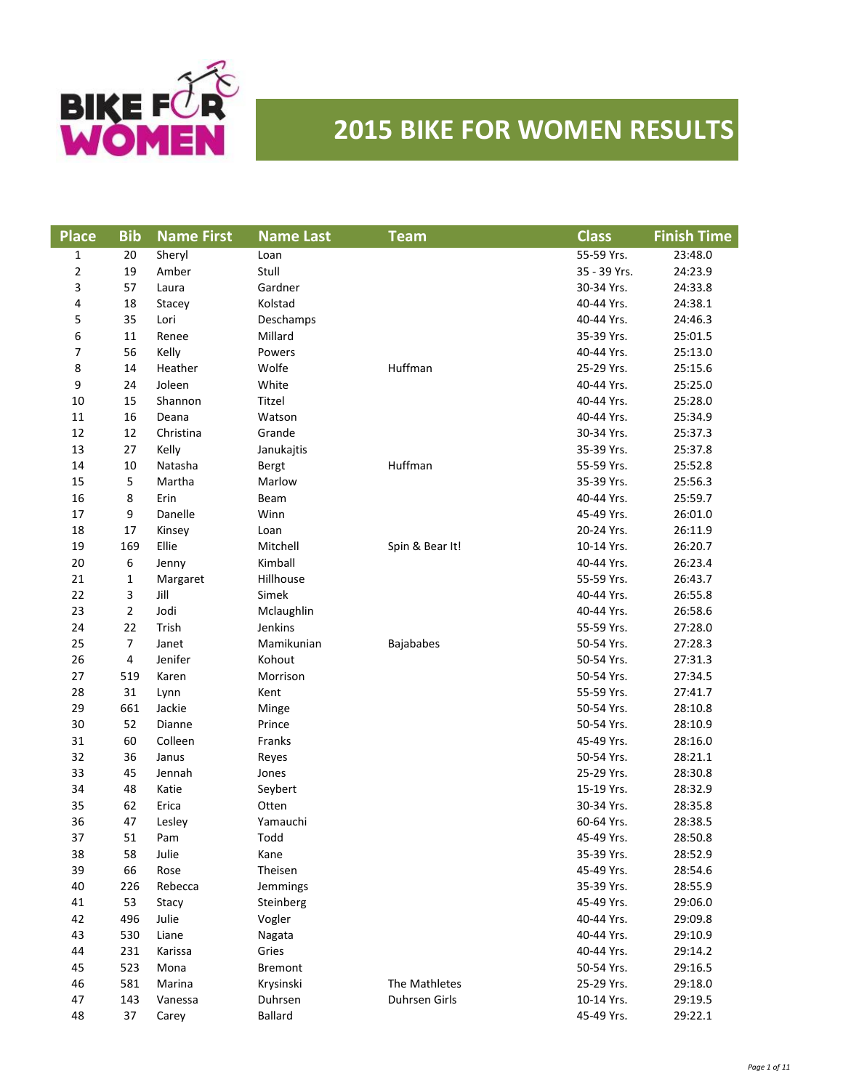

## **2015 BIKE FOR WOMEN RESULTS**

| <b>Place</b>   | <b>Bib</b>     | <b>Name First</b> | <b>Name Last</b> | <b>Team</b>      | <b>Class</b> | <b>Finish Time</b> |
|----------------|----------------|-------------------|------------------|------------------|--------------|--------------------|
| $\mathbf{1}$   | 20             | Sheryl            | Loan             |                  | 55-59 Yrs.   | 23:48.0            |
| $\overline{2}$ | 19             | Amber             | Stull            |                  | 35 - 39 Yrs. | 24:23.9            |
| 3              | 57             | Laura             | Gardner          |                  | 30-34 Yrs.   | 24:33.8            |
| 4              | 18             | Stacey            | Kolstad          |                  | 40-44 Yrs.   | 24:38.1            |
| 5              | 35             | Lori              | Deschamps        |                  | 40-44 Yrs.   | 24:46.3            |
| 6              | 11             | Renee             | Millard          |                  | 35-39 Yrs.   | 25:01.5            |
| 7              | 56             | Kelly             | Powers           |                  | 40-44 Yrs.   | 25:13.0            |
| 8              | 14             | Heather           | Wolfe            | Huffman          | 25-29 Yrs.   | 25:15.6            |
| 9              | 24             | Joleen            | White            |                  | 40-44 Yrs.   | 25:25.0            |
| 10             | 15             | Shannon           | Titzel           |                  | 40-44 Yrs.   | 25:28.0            |
| 11             | 16             | Deana             | Watson           |                  | 40-44 Yrs.   | 25:34.9            |
| 12             | 12             | Christina         | Grande           |                  | 30-34 Yrs.   | 25:37.3            |
| 13             | 27             | Kelly             | Janukajtis       |                  | 35-39 Yrs.   | 25:37.8            |
| 14             | 10             | Natasha           | <b>Bergt</b>     | Huffman          | 55-59 Yrs.   | 25:52.8            |
| 15             | 5              | Martha            | Marlow           |                  | 35-39 Yrs.   | 25:56.3            |
| 16             | 8              | Erin              | Beam             |                  | 40-44 Yrs.   | 25:59.7            |
| 17             | 9              | Danelle           | Winn             |                  | 45-49 Yrs.   | 26:01.0            |
| 18             | 17             | Kinsey            | Loan             |                  | 20-24 Yrs.   | 26:11.9            |
| 19             | 169            | Ellie             | Mitchell         | Spin & Bear It!  | 10-14 Yrs.   | 26:20.7            |
| 20             | 6              | Jenny             | Kimball          |                  | 40-44 Yrs.   | 26:23.4            |
| 21             | $\mathbf{1}$   | Margaret          | Hillhouse        |                  | 55-59 Yrs.   | 26:43.7            |
| 22             | 3              | Jill              | Simek            |                  | 40-44 Yrs.   | 26:55.8            |
| 23             | $\overline{2}$ | Jodi              | Mclaughlin       |                  | 40-44 Yrs.   | 26:58.6            |
| 24             | 22             | Trish             | Jenkins          |                  | 55-59 Yrs.   | 27:28.0            |
| 25             | 7              | Janet             | Mamikunian       | <b>Bajababes</b> | 50-54 Yrs.   | 27:28.3            |
| 26             | 4              | Jenifer           | Kohout           |                  | 50-54 Yrs.   | 27:31.3            |
| 27             | 519            | Karen             | Morrison         |                  | 50-54 Yrs.   | 27:34.5            |
| 28             | 31             | Lynn              | Kent             |                  | 55-59 Yrs.   | 27:41.7            |
| 29             | 661            | Jackie            | Minge            |                  | 50-54 Yrs.   | 28:10.8            |
| 30             | 52             | Dianne            | Prince           |                  | 50-54 Yrs.   | 28:10.9            |
| 31             | 60             | Colleen           | Franks           |                  | 45-49 Yrs.   | 28:16.0            |
| 32             | 36             | Janus             | Reyes            |                  | 50-54 Yrs.   | 28:21.1            |
| 33             | 45             | Jennah            | Jones            |                  | 25-29 Yrs.   | 28:30.8            |
| 34             | 48             | Katie             | Seybert          |                  | 15-19 Yrs.   | 28:32.9            |
| 35             | 62             | Erica             | Otten            |                  | 30-34 Yrs.   | 28:35.8            |
| 36             | 47             | Lesley            | Yamauchi         |                  | 60-64 Yrs.   | 28:38.5            |
| 37             | 51             | Pam               | Todd             |                  | 45-49 Yrs.   | 28:50.8            |
| 38             | 58             | Julie             | Kane             |                  | 35-39 Yrs.   | 28:52.9            |
| 39             | 66             | Rose              | Theisen          |                  | 45-49 Yrs.   | 28:54.6            |
| 40             | 226            | Rebecca           | Jemmings         |                  | 35-39 Yrs.   | 28:55.9            |
| 41             | 53             | Stacy             | Steinberg        |                  | 45-49 Yrs.   | 29:06.0            |
| 42             | 496            | Julie             | Vogler           |                  | 40-44 Yrs.   | 29:09.8            |
| 43             | 530            | Liane             | Nagata           |                  | 40-44 Yrs.   | 29:10.9            |
| 44             | 231            | Karissa           | Gries            |                  | 40-44 Yrs.   | 29:14.2            |
| 45             | 523            | Mona              | <b>Bremont</b>   |                  | 50-54 Yrs.   | 29:16.5            |
| 46             | 581            | Marina            | Krysinski        | The Mathletes    | 25-29 Yrs.   | 29:18.0            |
| 47             | 143            | Vanessa           | Duhrsen          | Duhrsen Girls    | 10-14 Yrs.   | 29:19.5            |
| 48             | 37             | Carey             | <b>Ballard</b>   |                  | 45-49 Yrs.   | 29:22.1            |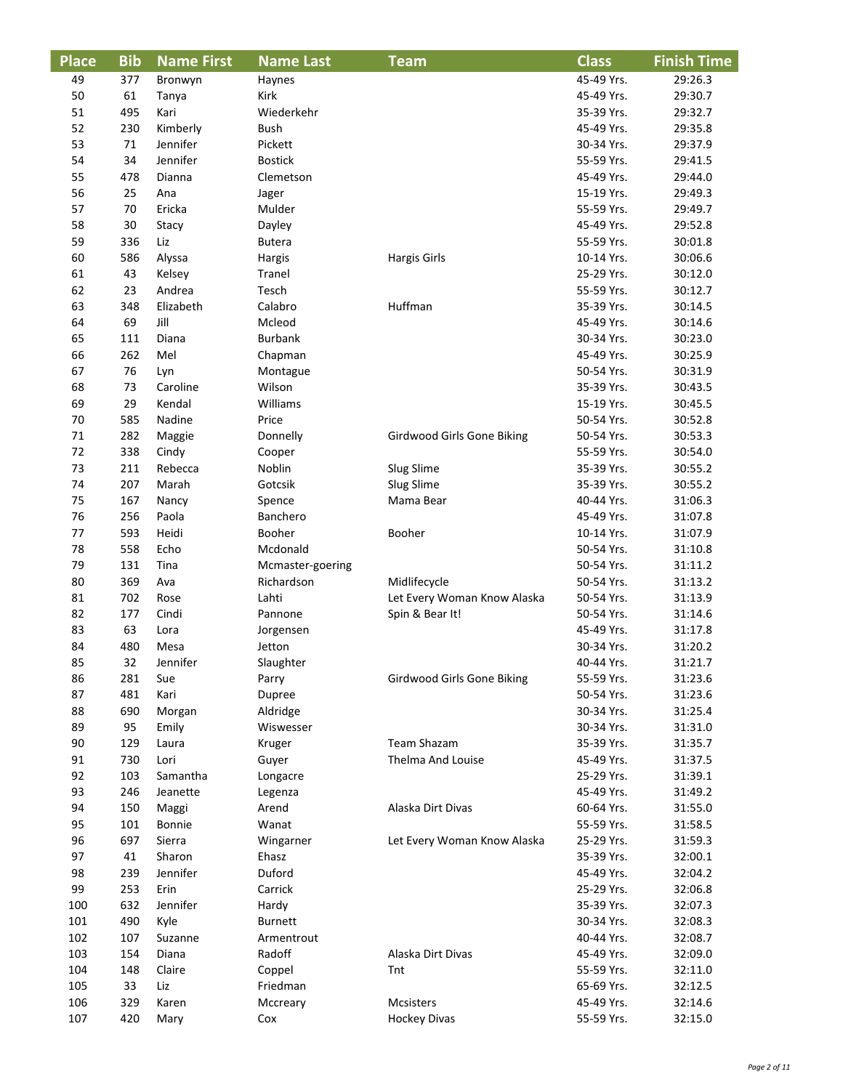| <b>Place</b> | <b>Bib</b> | <b>Name First</b> | <b>Name Last</b> | <b>Team</b>                       | <b>Class</b> | <b>Finish Time</b> |
|--------------|------------|-------------------|------------------|-----------------------------------|--------------|--------------------|
| 49           | 377        | Bronwyn           | Haynes           |                                   | 45-49 Yrs.   | 29:26.3            |
| 50           | 61         | Tanya             | <b>Kirk</b>      |                                   | 45-49 Yrs.   | 29:30.7            |
| 51           | 495        | Kari              | Wiederkehr       |                                   | 35-39 Yrs.   | 29:32.7            |
| 52           | 230        | Kimberly          | <b>Bush</b>      |                                   | 45-49 Yrs.   | 29:35.8            |
| 53           | 71         | Jennifer          | Pickett          |                                   | 30-34 Yrs.   | 29:37.9            |
| 54           | 34         | Jennifer          | <b>Bostick</b>   |                                   | 55-59 Yrs.   | 29:41.5            |
| 55           | 478        | Dianna            | Clemetson        |                                   | 45-49 Yrs.   | 29:44.0            |
| 56           | 25         | Ana               | Jager            |                                   | 15-19 Yrs.   | 29:49.3            |
| 57           | 70         | Ericka            | Mulder           |                                   | 55-59 Yrs.   | 29:49.7            |
| 58           | 30         | Stacy             | Dayley           |                                   | 45-49 Yrs.   | 29:52.8            |
| 59           | 336        | Liz               | <b>Butera</b>    |                                   | 55-59 Yrs.   | 30:01.8            |
| 60           | 586        | Alyssa            | Hargis           | <b>Hargis Girls</b>               | 10-14 Yrs.   | 30:06.6            |
| 61           | 43         | Kelsey            | Tranel           |                                   | 25-29 Yrs.   | 30:12.0            |
| 62           | 23         | Andrea            | Tesch            |                                   | 55-59 Yrs.   | 30:12.7            |
| 63           | 348        | Elizabeth         | Calabro          | Huffman                           | 35-39 Yrs.   | 30:14.5            |
| 64           | 69         | Jill              | Mcleod           |                                   | 45-49 Yrs.   | 30:14.6            |
| 65           | 111        | Diana             | <b>Burbank</b>   |                                   | 30-34 Yrs.   | 30:23.0            |
| 66           | 262        | Mel               | Chapman          |                                   | 45-49 Yrs.   | 30:25.9            |
| 67           | 76         | Lyn               | Montague         |                                   | 50-54 Yrs.   | 30:31.9            |
| 68           | 73         | Caroline          | Wilson           |                                   | 35-39 Yrs.   | 30:43.5            |
| 69           | 29         | Kendal            | Williams         |                                   | 15-19 Yrs.   | 30:45.5            |
| 70           | 585        | Nadine            | Price            |                                   | 50-54 Yrs.   | 30:52.8            |
| 71           | 282        | Maggie            | Donnelly         | <b>Girdwood Girls Gone Biking</b> | 50-54 Yrs.   | 30:53.3            |
| 72           | 338        | Cindy             | Cooper           |                                   | 55-59 Yrs.   | 30:54.0            |
| 73           | 211        | Rebecca           | Noblin           | Slug Slime                        | 35-39 Yrs.   | 30:55.2            |
| 74           | 207        | Marah             | Gotcsik          | Slug Slime                        | 35-39 Yrs.   | 30:55.2            |
| 75           | 167        | Nancy             | Spence           | Mama Bear                         | 40-44 Yrs.   | 31:06.3            |
| 76           | 256        | Paola             | Banchero         |                                   | 45-49 Yrs.   | 31:07.8            |
| 77           | 593        | Heidi             | Booher           | Booher                            | 10-14 Yrs.   | 31:07.9            |
| 78           | 558        | Echo              | Mcdonald         |                                   | 50-54 Yrs.   | 31:10.8            |
| 79           | 131        | Tina              | Mcmaster-goering |                                   | 50-54 Yrs.   | 31:11.2            |
| 80           | 369        | Ava               | Richardson       | Midlifecycle                      | 50-54 Yrs.   | 31:13.2            |
| 81           | 702        | Rose              | Lahti            | Let Every Woman Know Alaska       | 50-54 Yrs.   | 31:13.9            |
| 82           | 177        | Cindi             | Pannone          | Spin & Bear It!                   | 50-54 Yrs.   | 31:14.6            |
| 83           | 63         | Lora              | Jorgensen        |                                   | 45-49 Yrs.   | 31:17.8            |
| 84           | 480        | Mesa              | Jetton           |                                   | 30-34 Yrs.   | 31:20.2            |
| 85           | 32         | Jennifer          | Slaughter        |                                   | 40-44 Yrs.   | 31:21.7            |
| 86           | 281        | Sue               | Parry            | <b>Girdwood Girls Gone Biking</b> | 55-59 Yrs.   | 31:23.6            |
| 87           | 481        | Kari              | Dupree           |                                   | 50-54 Yrs.   | 31:23.6            |
| 88           | 690        | Morgan            | Aldridge         |                                   | 30-34 Yrs.   | 31:25.4            |
| 89           | 95         | Emily             | Wiswesser        |                                   | 30-34 Yrs.   | 31:31.0            |
| 90           | 129        | Laura             | Kruger           | Team Shazam                       | 35-39 Yrs.   | 31:35.7            |
| 91           | 730        | Lori              | Guyer            | <b>Thelma And Louise</b>          | 45-49 Yrs.   | 31:37.5            |
| 92           | 103        | Samantha          | Longacre         |                                   | 25-29 Yrs.   | 31:39.1            |
| 93           | 246        | Jeanette          | Legenza          |                                   | 45-49 Yrs.   | 31:49.2            |
| 94           | 150        | Maggi             | Arend            | Alaska Dirt Divas                 | 60-64 Yrs.   | 31:55.0            |
| 95           | 101        | Bonnie            | Wanat            |                                   | 55-59 Yrs.   | 31:58.5            |
| 96           | 697        | Sierra            | Wingarner        | Let Every Woman Know Alaska       | 25-29 Yrs.   | 31:59.3            |
| 97           | 41         | Sharon            | Ehasz            |                                   | 35-39 Yrs.   | 32:00.1            |
| 98           | 239        | Jennifer          | Duford           |                                   | 45-49 Yrs.   | 32:04.2            |
| 99           | 253        | Erin              | Carrick          |                                   | 25-29 Yrs.   | 32:06.8            |
| 100          | 632        | Jennifer          | Hardy            |                                   | 35-39 Yrs.   | 32:07.3            |
| 101          | 490        | Kyle              | <b>Burnett</b>   |                                   | 30-34 Yrs.   | 32:08.3            |
| 102          | 107        | Suzanne           | Armentrout       |                                   | 40-44 Yrs.   | 32:08.7            |
| 103          | 154        | Diana             | Radoff           | Alaska Dirt Divas                 | 45-49 Yrs.   | 32:09.0            |
| 104          | 148        | Claire            | Coppel           | Tnt                               | 55-59 Yrs.   | 32:11.0            |
| 105          | 33         | Liz               | Friedman         |                                   | 65-69 Yrs.   | 32:12.5            |
| 106          | 329        | Karen             | Mccreary         | Mcsisters                         | 45-49 Yrs.   | 32:14.6            |
| 107          | 420        | Mary              | Cox              | <b>Hockey Divas</b>               | 55-59 Yrs.   | 32:15.0            |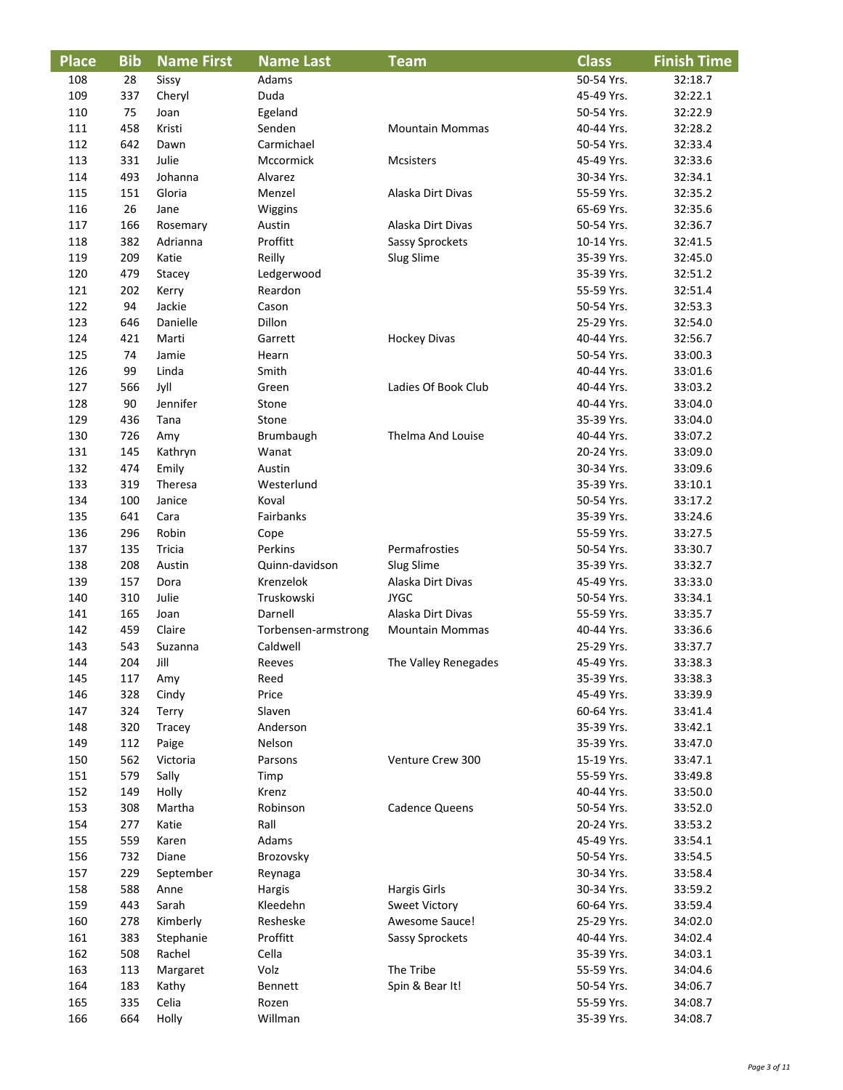| <b>Place</b> | <b>Bib</b> | <b>Name First</b> | <b>Name Last</b>            | <b>Team</b>                            | <b>Class</b>             | <b>Finish Time</b> |
|--------------|------------|-------------------|-----------------------------|----------------------------------------|--------------------------|--------------------|
| 108          | 28         | Sissy             | Adams                       |                                        | 50-54 Yrs.               | 32:18.7            |
| 109          | 337        | Cheryl            | Duda                        |                                        | 45-49 Yrs.               | 32:22.1            |
| 110          | 75         | Joan              | Egeland                     |                                        | 50-54 Yrs.               | 32:22.9            |
| 111          | 458        | Kristi            | Senden                      | <b>Mountain Mommas</b>                 | 40-44 Yrs.               | 32:28.2            |
| 112          | 642        | Dawn              | Carmichael                  |                                        | 50-54 Yrs.               | 32:33.4            |
| 113          | 331        | Julie             | Mccormick                   | <b>Mcsisters</b>                       | 45-49 Yrs.               | 32:33.6            |
| 114          | 493        | Johanna           | Alvarez                     |                                        | 30-34 Yrs.               | 32:34.1            |
| 115          | 151        | Gloria            | Menzel                      | Alaska Dirt Divas                      | 55-59 Yrs.               | 32:35.2            |
| 116          | 26         | Jane              | Wiggins                     |                                        | 65-69 Yrs.               | 32:35.6            |
| 117          | 166        | Rosemary          | Austin                      | Alaska Dirt Divas                      | 50-54 Yrs.               | 32:36.7            |
| 118          | 382        | Adrianna          | Proffitt                    | <b>Sassy Sprockets</b>                 | 10-14 Yrs.               | 32:41.5            |
| 119          | 209        | Katie             | Reilly                      | Slug Slime                             | 35-39 Yrs.               | 32:45.0            |
| 120          | 479        | Stacey            | Ledgerwood                  |                                        | 35-39 Yrs.               | 32:51.2            |
| 121          | 202        | Kerry             | Reardon                     |                                        | 55-59 Yrs.               | 32:51.4            |
| 122          | 94         | Jackie            | Cason                       |                                        | 50-54 Yrs.               | 32:53.3            |
| 123          | 646        | Danielle          | Dillon                      |                                        | 25-29 Yrs.               | 32:54.0            |
| 124          | 421        | Marti             | Garrett                     | <b>Hockey Divas</b>                    | 40-44 Yrs.               | 32:56.7            |
| 125          | 74         | Jamie             | Hearn                       |                                        | 50-54 Yrs.               | 33:00.3            |
| 126          | 99         | Linda             | Smith                       |                                        | 40-44 Yrs.               | 33:01.6            |
| 127          | 566        | Jyll              | Green                       | Ladies Of Book Club                    | 40-44 Yrs.               | 33:03.2            |
| 128          | 90         | Jennifer          | Stone                       |                                        | 40-44 Yrs.               | 33:04.0            |
| 129          | 436        | Tana              | Stone                       |                                        | 35-39 Yrs.               | 33:04.0            |
| 130          | 726        | Amy               | Brumbaugh                   | Thelma And Louise                      | 40-44 Yrs.               | 33:07.2            |
| 131          | 145        | Kathryn           | Wanat                       |                                        | 20-24 Yrs.               | 33:09.0            |
| 132          | 474        | Emily             | Austin                      |                                        | 30-34 Yrs.               | 33:09.6            |
| 133          | 319        | Theresa           | Westerlund                  |                                        | 35-39 Yrs.               | 33:10.1            |
| 134          | 100        | Janice            | Koval                       |                                        | 50-54 Yrs.               | 33:17.2            |
| 135          | 641        | Cara              | Fairbanks                   |                                        | 35-39 Yrs.               | 33:24.6            |
| 136          | 296        | Robin             | Cope                        |                                        | 55-59 Yrs.               | 33:27.5            |
| 137          | 135<br>208 | Tricia            | Perkins                     | Permafrosties                          | 50-54 Yrs.<br>35-39 Yrs. | 33:30.7            |
| 138<br>139   | 157        | Austin<br>Dora    | Quinn-davidson<br>Krenzelok | <b>Slug Slime</b><br>Alaska Dirt Divas | 45-49 Yrs.               | 33:32.7<br>33:33.0 |
| 140          | 310        | Julie             | Truskowski                  | <b>JYGC</b>                            | 50-54 Yrs.               | 33:34.1            |
| 141          | 165        | Joan              | Darnell                     | Alaska Dirt Divas                      | 55-59 Yrs.               | 33:35.7            |
| 142          | 459        | Claire            | Torbensen-armstrong         | <b>Mountain Mommas</b>                 | 40-44 Yrs.               | 33:36.6            |
| 143          | 543        | Suzanna           | Caldwell                    |                                        | 25-29 Yrs.               | 33:37.7            |
| 144          | 204        | Jill              | Reeves                      | The Valley Renegades                   | 45-49 Yrs.               | 33:38.3            |
| 145          | 117        | Amy               | Reed                        |                                        | 35-39 Yrs.               | 33:38.3            |
| 146          | 328        | Cindy             | Price                       |                                        | 45-49 Yrs.               | 33:39.9            |
| 147          | 324        | <b>Terry</b>      | Slaven                      |                                        | 60-64 Yrs.               | 33:41.4            |
| 148          | 320        | Tracey            | Anderson                    |                                        | 35-39 Yrs.               | 33:42.1            |
| 149          | 112        | Paige             | Nelson                      |                                        | 35-39 Yrs.               | 33:47.0            |
| 150          | 562        | Victoria          | Parsons                     | Venture Crew 300                       | 15-19 Yrs.               | 33:47.1            |
| 151          | 579        | Sally             | Timp                        |                                        | 55-59 Yrs.               | 33:49.8            |
| 152          | 149        | Holly             | Krenz                       |                                        | 40-44 Yrs.               | 33:50.0            |
| 153          | 308        | Martha            | Robinson                    | <b>Cadence Queens</b>                  | 50-54 Yrs.               | 33:52.0            |
| 154          | 277        | Katie             | Rall                        |                                        | 20-24 Yrs.               | 33:53.2            |
| 155          | 559        | Karen             | Adams                       |                                        | 45-49 Yrs.               | 33:54.1            |
| 156          | 732        | Diane             | Brozovsky                   |                                        | 50-54 Yrs.               | 33:54.5            |
| 157          | 229        | September         | Reynaga                     |                                        | 30-34 Yrs.               | 33:58.4            |
| 158          | 588        | Anne              | Hargis                      | <b>Hargis Girls</b>                    | 30-34 Yrs.               | 33:59.2            |
| 159          | 443        | Sarah             | Kleedehn                    | <b>Sweet Victory</b>                   | 60-64 Yrs.               | 33:59.4            |
| 160          | 278        | Kimberly          | Resheske                    | Awesome Sauce!                         | 25-29 Yrs.               | 34:02.0            |
| 161          | 383        | Stephanie         | Proffitt                    | <b>Sassy Sprockets</b>                 | 40-44 Yrs.               | 34:02.4            |
| 162          | 508        | Rachel            | Cella                       |                                        | 35-39 Yrs.               | 34:03.1            |
| 163          | 113        | Margaret          | Volz                        | The Tribe                              | 55-59 Yrs.               | 34:04.6            |
| 164          | 183        | Kathy             | <b>Bennett</b>              | Spin & Bear It!                        | 50-54 Yrs.               | 34:06.7            |
| 165          | 335        | Celia             | Rozen                       |                                        | 55-59 Yrs.               | 34:08.7            |
| 166          | 664        | Holly             | Willman                     |                                        | 35-39 Yrs.               | 34:08.7            |

I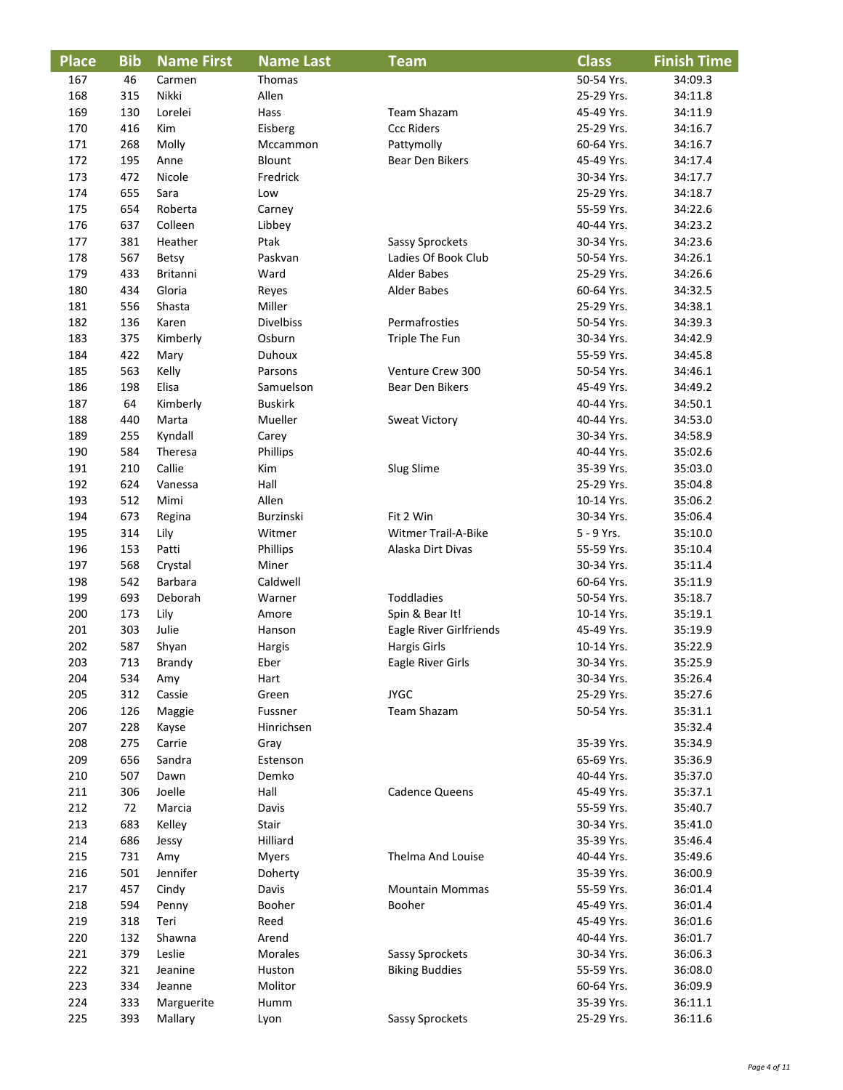| <b>Place</b> | <b>Bib</b> | <b>Name First</b> | <b>Name Last</b> | <b>Team</b>              | <b>Class</b> | <b>Finish Time</b> |
|--------------|------------|-------------------|------------------|--------------------------|--------------|--------------------|
| 167          | 46         | Carmen            | Thomas           |                          | 50-54 Yrs.   | 34:09.3            |
| 168          | 315        | Nikki             | Allen            |                          | 25-29 Yrs.   | 34:11.8            |
| 169          | 130        | Lorelei           | Hass             | Team Shazam              | 45-49 Yrs.   | 34:11.9            |
| 170          | 416        | Kim               | Eisberg          | <b>Ccc Riders</b>        | 25-29 Yrs.   | 34:16.7            |
| 171          | 268        | Molly             | Mccammon         | Pattymolly               | 60-64 Yrs.   | 34:16.7            |
| 172          | 195        | Anne              | Blount           | Bear Den Bikers          | 45-49 Yrs.   | 34:17.4            |
| 173          | 472        | Nicole            | Fredrick         |                          | 30-34 Yrs.   | 34:17.7            |
| 174          | 655        | Sara              | Low              |                          | 25-29 Yrs.   | 34:18.7            |
| 175          | 654        | Roberta           | Carney           |                          | 55-59 Yrs.   | 34:22.6            |
| 176          | 637        | Colleen           | Libbey           |                          | 40-44 Yrs.   | 34:23.2            |
| 177          | 381        | Heather           | Ptak             | <b>Sassy Sprockets</b>   | 30-34 Yrs.   | 34:23.6            |
| 178          | 567        | <b>Betsy</b>      | Paskvan          | Ladies Of Book Club      | 50-54 Yrs.   | 34:26.1            |
| 179          | 433        | <b>Britanni</b>   | Ward             | <b>Alder Babes</b>       | 25-29 Yrs.   | 34:26.6            |
| 180          | 434        | Gloria            | Reyes            | <b>Alder Babes</b>       | 60-64 Yrs.   | 34:32.5            |
| 181          | 556        | Shasta            | Miller           |                          | 25-29 Yrs.   | 34:38.1            |
| 182          | 136        | Karen             | <b>Divelbiss</b> | Permafrosties            | 50-54 Yrs.   | 34:39.3            |
| 183          | 375        | Kimberly          | Osburn           | Triple The Fun           | 30-34 Yrs.   | 34:42.9            |
| 184          | 422        | Mary              | <b>Duhoux</b>    |                          | 55-59 Yrs.   | 34:45.8            |
| 185          | 563        | Kelly             | Parsons          | Venture Crew 300         | 50-54 Yrs.   | 34:46.1            |
| 186          | 198        | Elisa             | Samuelson        | Bear Den Bikers          | 45-49 Yrs.   | 34:49.2            |
| 187          | 64         | Kimberly          | <b>Buskirk</b>   |                          | 40-44 Yrs.   | 34:50.1            |
| 188          | 440        | Marta             | Mueller          | <b>Sweat Victory</b>     | 40-44 Yrs.   | 34:53.0            |
| 189          | 255        | Kyndall           | Carey            |                          | 30-34 Yrs.   | 34:58.9            |
| 190          | 584        | Theresa           | Phillips         |                          | 40-44 Yrs.   | 35:02.6            |
| 191          | 210        | Callie            | Kim              | <b>Slug Slime</b>        | 35-39 Yrs.   | 35:03.0            |
| 192          | 624        | Vanessa           | Hall             |                          | 25-29 Yrs.   | 35:04.8            |
| 193          | 512        | Mimi              | Allen            |                          | 10-14 Yrs.   | 35:06.2            |
| 194          | 673        | Regina            | Burzinski        | Fit 2 Win                | 30-34 Yrs.   | 35:06.4            |
| 195          | 314        | Lily              | Witmer           | Witmer Trail-A-Bike      | 5 - 9 Yrs.   | 35:10.0            |
| 196          | 153        | Patti             | Phillips         | Alaska Dirt Divas        | 55-59 Yrs.   | 35:10.4            |
| 197          | 568        | Crystal           | Miner            |                          | 30-34 Yrs.   | 35:11.4            |
| 198          | 542        | Barbara           | Caldwell         |                          | 60-64 Yrs.   | 35:11.9            |
| 199          | 693        | Deborah           | Warner           | Toddladies               | 50-54 Yrs.   | 35:18.7            |
| 200          | 173        | Lily              | Amore            | Spin & Bear It!          | 10-14 Yrs.   | 35:19.1            |
| 201          | 303        | Julie             | Hanson           | Eagle River Girlfriends  | 45-49 Yrs.   | 35:19.9            |
| 202          | 587        | Shyan             | Hargis           | <b>Hargis Girls</b>      | 10-14 Yrs.   | 35:22.9            |
| 203          | 713        | Brandy            | Eber             | Eagle River Girls        | 30-34 Yrs.   | 35:25.9            |
| 204          | 534        | Amy               | Hart             |                          | 30-34 Yrs.   | 35:26.4            |
| 205          | 312        | Cassie            | Green            | <b>JYGC</b>              | 25-29 Yrs.   | 35:27.6            |
| 206          | 126        | Maggie            | Fussner          | Team Shazam              | 50-54 Yrs.   | 35:31.1            |
| 207          | 228        | Kayse             | Hinrichsen       |                          |              | 35:32.4            |
| 208          | 275        | Carrie            | Gray             |                          | 35-39 Yrs.   | 35:34.9            |
| 209          | 656        | Sandra            | Estenson         |                          | 65-69 Yrs.   | 35:36.9            |
| 210          | 507        | Dawn              | Demko            |                          | 40-44 Yrs.   | 35:37.0            |
| 211          | 306        | Joelle            | Hall             | <b>Cadence Queens</b>    | 45-49 Yrs.   | 35:37.1            |
| 212          | 72         | Marcia            | Davis            |                          | 55-59 Yrs.   | 35:40.7            |
| 213          | 683        | Kelley            | <b>Stair</b>     |                          | 30-34 Yrs.   | 35:41.0            |
| 214          | 686        | Jessy             | Hilliard         |                          | 35-39 Yrs.   | 35:46.4            |
| 215          | 731        | Amy               | <b>Myers</b>     | <b>Thelma And Louise</b> | 40-44 Yrs.   | 35:49.6            |
| 216          | 501        | Jennifer          | Doherty          |                          | 35-39 Yrs.   | 36:00.9            |
| 217          | 457        | Cindy             | Davis            | <b>Mountain Mommas</b>   | 55-59 Yrs.   | 36:01.4            |
| 218          | 594        | Penny             | Booher           | Booher                   | 45-49 Yrs.   | 36:01.4            |
| 219          | 318        | Teri              | Reed             |                          | 45-49 Yrs.   | 36:01.6            |
| 220          | 132        | Shawna            | Arend            |                          | 40-44 Yrs.   | 36:01.7            |
| 221          | 379        | Leslie            | <b>Morales</b>   | <b>Sassy Sprockets</b>   | 30-34 Yrs.   | 36:06.3            |
| 222          | 321        | Jeanine           | Huston           | <b>Biking Buddies</b>    | 55-59 Yrs.   | 36:08.0            |
| 223          | 334        | Jeanne            | Molitor          |                          | 60-64 Yrs.   | 36:09.9            |
| 224          | 333        | Marguerite        | Humm             |                          | 35-39 Yrs.   | 36:11.1            |
| 225          | 393        | Mallary           | Lyon             | <b>Sassy Sprockets</b>   | 25-29 Yrs.   | 36:11.6            |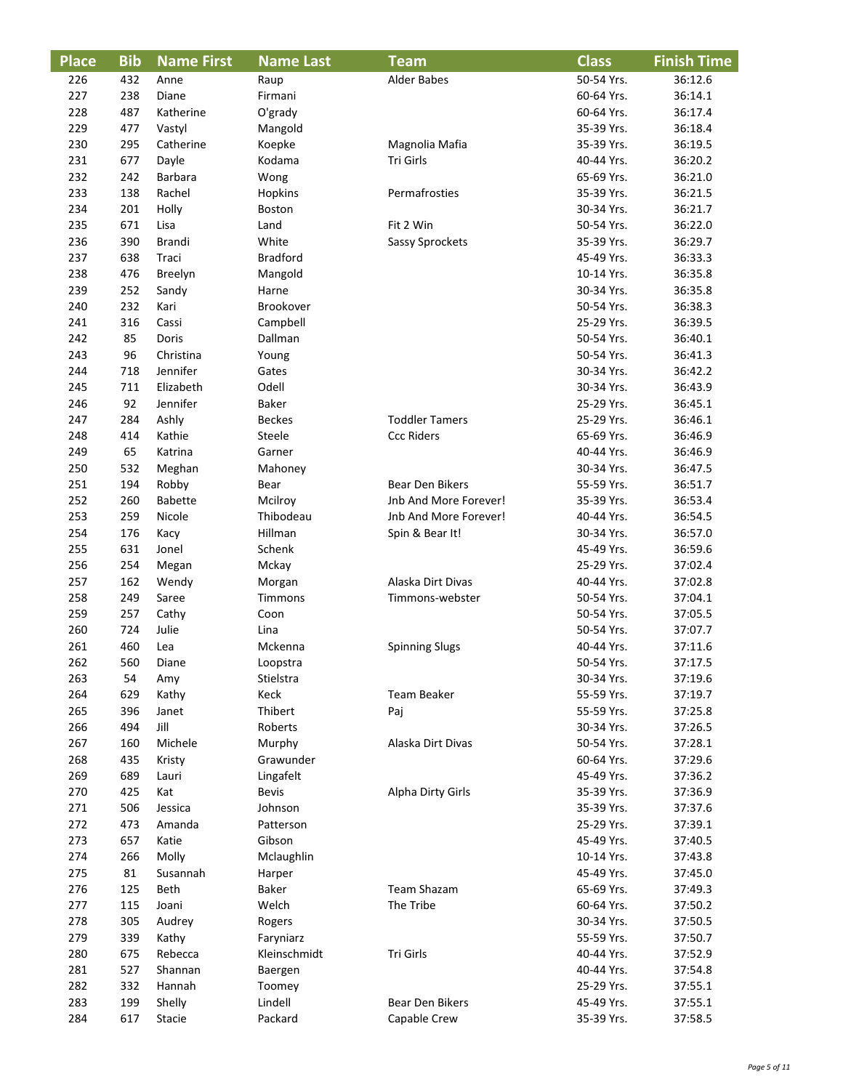| Place      | <b>Bib</b> | <b>Name First</b> | <b>Name Last</b>  | <b>Team</b>            | <b>Class</b>             | <b>Finish Time</b> |
|------------|------------|-------------------|-------------------|------------------------|--------------------------|--------------------|
| 226        | 432        | Anne              | Raup              | <b>Alder Babes</b>     | 50-54 Yrs.               | 36:12.6            |
| 227        | 238        | Diane             | Firmani           |                        | 60-64 Yrs.               | 36:14.1            |
| 228        | 487        | Katherine         | O'grady           |                        | 60-64 Yrs.               | 36:17.4            |
| 229        | 477        | Vastyl            | Mangold           |                        | 35-39 Yrs.               | 36:18.4            |
| 230        | 295        | Catherine         | Koepke            | Magnolia Mafia         | 35-39 Yrs.               | 36:19.5            |
| 231        | 677        | Dayle             | Kodama            | Tri Girls              | 40-44 Yrs.               | 36:20.2            |
| 232        | 242        | Barbara           | Wong              |                        | 65-69 Yrs.               | 36:21.0            |
| 233        | 138        | Rachel            | Hopkins           | Permafrosties          | 35-39 Yrs.               | 36:21.5            |
| 234        | 201        | Holly             | <b>Boston</b>     |                        | 30-34 Yrs.               | 36:21.7            |
| 235        | 671        | Lisa              | Land              | Fit 2 Win              | 50-54 Yrs.               | 36:22.0            |
| 236        | 390        | <b>Brandi</b>     | White             | <b>Sassy Sprockets</b> | 35-39 Yrs.               | 36:29.7            |
| 237        | 638        | Traci             | <b>Bradford</b>   |                        | 45-49 Yrs.               | 36:33.3            |
| 238        | 476        | Breelyn           | Mangold           |                        | 10-14 Yrs.               | 36:35.8            |
| 239        | 252        | Sandy             | Harne             |                        | 30-34 Yrs.               | 36:35.8            |
| 240        | 232        | Kari              | Brookover         |                        | 50-54 Yrs.               | 36:38.3            |
| 241        | 316        | Cassi             | Campbell          |                        | 25-29 Yrs.               | 36:39.5            |
| 242        | 85         | Doris             | Dallman           |                        | 50-54 Yrs.               | 36:40.1            |
| 243        | 96         | Christina         | Young             |                        | 50-54 Yrs.               | 36:41.3            |
| 244        | 718        | Jennifer          | Gates             |                        | 30-34 Yrs.               | 36:42.2            |
| 245        | 711        | Elizabeth         | Odell             |                        | 30-34 Yrs.               | 36:43.9            |
| 246        | 92         | Jennifer          | Baker             |                        | 25-29 Yrs.               | 36:45.1            |
| 247        | 284        | Ashly             | <b>Beckes</b>     | <b>Toddler Tamers</b>  | 25-29 Yrs.               | 36:46.1            |
| 248        | 414        | Kathie            | Steele            | <b>Ccc Riders</b>      | 65-69 Yrs.               | 36:46.9            |
| 249        | 65         | Katrina           | Garner            |                        | 40-44 Yrs.               | 36:46.9            |
| 250        | 532        | Meghan            | Mahoney           |                        | 30-34 Yrs.               | 36:47.5            |
| 251        | 194        | Robby             | Bear              | Bear Den Bikers        | 55-59 Yrs.               | 36:51.7            |
| 252        | 260        | Babette           | Mcilroy           | Jnb And More Forever!  | 35-39 Yrs.               | 36:53.4            |
| 253        | 259        | Nicole            | Thibodeau         | Jnb And More Forever!  | 40-44 Yrs.               | 36:54.5            |
| 254        | 176        | Kacy              | Hillman           | Spin & Bear It!        | 30-34 Yrs.               | 36:57.0            |
| 255        | 631        | Jonel             | Schenk            |                        | 45-49 Yrs.<br>25-29 Yrs. | 36:59.6            |
| 256        | 254<br>162 | Megan             | Mckay             | Alaska Dirt Divas      | 40-44 Yrs.               | 37:02.4            |
| 257<br>258 | 249        | Wendy<br>Saree    | Morgan<br>Timmons | Timmons-webster        | 50-54 Yrs.               | 37:02.8<br>37:04.1 |
| 259        | 257        | Cathy             | Coon              |                        | 50-54 Yrs.               | 37:05.5            |
| 260        | 724        | Julie             | Lina              |                        | 50-54 Yrs.               | 37:07.7            |
| 261        | 460        | Lea               | Mckenna           | <b>Spinning Slugs</b>  | 40-44 Yrs.               | 37:11.6            |
| 262        | 560        | Diane             | Loopstra          |                        | 50-54 Yrs.               | 37:17.5            |
| 263        | 54         | Amy               | Stielstra         |                        | 30-34 Yrs.               | 37:19.6            |
| 264        | 629        | Kathy             | Keck              | Team Beaker            | 55-59 Yrs.               | 37:19.7            |
| 265        | 396        | Janet             | Thibert           | Paj                    | 55-59 Yrs.               | 37:25.8            |
| 266        | 494        | Jill              | Roberts           |                        | 30-34 Yrs.               | 37:26.5            |
| 267        | 160        | Michele           | Murphy            | Alaska Dirt Divas      | 50-54 Yrs.               | 37:28.1            |
| 268        | 435        | Kristy            | Grawunder         |                        | 60-64 Yrs.               | 37:29.6            |
| 269        | 689        | Lauri             | Lingafelt         |                        | 45-49 Yrs.               | 37:36.2            |
| 270        | 425        | Kat               | <b>Bevis</b>      | Alpha Dirty Girls      | 35-39 Yrs.               | 37:36.9            |
| 271        | 506        | Jessica           | Johnson           |                        | 35-39 Yrs.               | 37:37.6            |
| 272        | 473        | Amanda            | Patterson         |                        | 25-29 Yrs.               | 37:39.1            |
| 273        | 657        | Katie             | Gibson            |                        | 45-49 Yrs.               | 37:40.5            |
| 274        | 266        | Molly             | Mclaughlin        |                        | 10-14 Yrs.               | 37:43.8            |
| 275        | 81         | Susannah          | Harper            |                        | 45-49 Yrs.               | 37:45.0            |
| 276        | 125        | <b>Beth</b>       | <b>Baker</b>      | Team Shazam            | 65-69 Yrs.               | 37:49.3            |
| 277        | 115        | Joani             | Welch             | The Tribe              | 60-64 Yrs.               | 37:50.2            |
| 278        | 305        | Audrey            | Rogers            |                        | 30-34 Yrs.               | 37:50.5            |
| 279        | 339        | Kathy             | Faryniarz         |                        | 55-59 Yrs.               | 37:50.7            |
| 280        | 675        | Rebecca           | Kleinschmidt      | Tri Girls              | 40-44 Yrs.               | 37:52.9            |
| 281        | 527        | Shannan           | Baergen           |                        | 40-44 Yrs.               | 37:54.8            |
| 282        | 332        | Hannah            | Toomey            |                        | 25-29 Yrs.               | 37:55.1            |
| 283        | 199        | Shelly            | Lindell           | <b>Bear Den Bikers</b> | 45-49 Yrs.               | 37:55.1            |
| 284        | 617        | Stacie            | Packard           | Capable Crew           | 35-39 Yrs.               | 37:58.5            |

I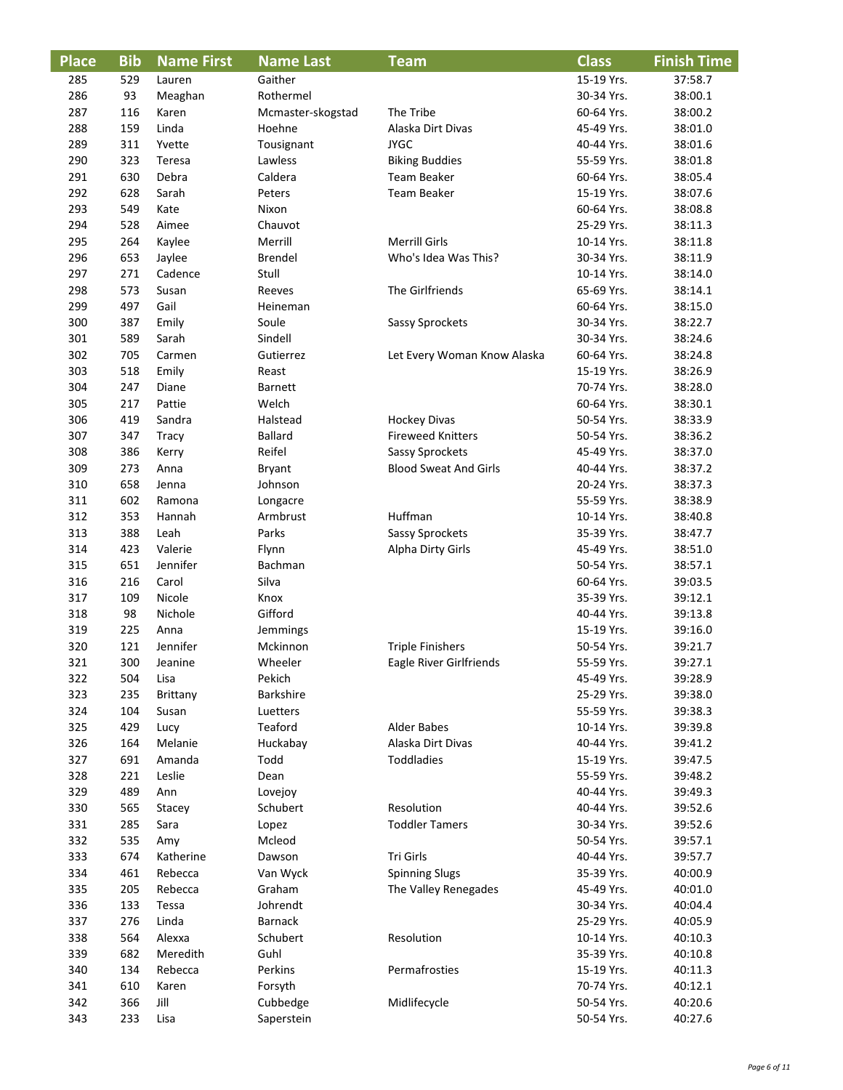| <b>Place</b> | <b>Bib</b> | <b>Name First</b> | <b>Name Last</b>            | <b>Team</b>                  | <b>Class</b>             | <b>Finish Time</b> |
|--------------|------------|-------------------|-----------------------------|------------------------------|--------------------------|--------------------|
| 285          | 529        | Lauren            | Gaither                     |                              | 15-19 Yrs.               | 37:58.7            |
| 286          | 93         | Meaghan           | Rothermel                   |                              | 30-34 Yrs.               | 38:00.1            |
| 287          | 116        | Karen             | Mcmaster-skogstad           | The Tribe                    | 60-64 Yrs.               | 38:00.2            |
| 288          | 159        | Linda             | Hoehne                      | Alaska Dirt Divas            | 45-49 Yrs.               | 38:01.0            |
| 289          | 311        | Yvette            | Tousignant                  | <b>JYGC</b>                  | 40-44 Yrs.               | 38:01.6            |
| 290          | 323        | Teresa            | Lawless                     | <b>Biking Buddies</b>        | 55-59 Yrs.               | 38:01.8            |
| 291          | 630        | Debra             | Caldera                     | Team Beaker                  | 60-64 Yrs.               | 38:05.4            |
| 292          | 628        | Sarah             | Peters                      | Team Beaker                  | 15-19 Yrs.               | 38:07.6            |
| 293          | 549        | Kate              | Nixon                       |                              | 60-64 Yrs.               | 38:08.8            |
| 294          | 528        | Aimee             | Chauvot                     |                              | 25-29 Yrs.               | 38:11.3            |
| 295          | 264        | Kaylee            | Merrill                     | <b>Merrill Girls</b>         | 10-14 Yrs.               | 38:11.8            |
| 296          | 653        | Jaylee            | <b>Brendel</b>              | Who's Idea Was This?         | 30-34 Yrs.               | 38:11.9            |
| 297          | 271        | Cadence           | Stull                       |                              | 10-14 Yrs.               | 38:14.0            |
| 298          | 573        | Susan             | Reeves                      | The Girlfriends              | 65-69 Yrs.               | 38:14.1            |
| 299          | 497        | Gail              | Heineman                    |                              | 60-64 Yrs.               | 38:15.0            |
| 300          | 387        | Emily             | Soule                       | <b>Sassy Sprockets</b>       | 30-34 Yrs.               | 38:22.7            |
| 301          | 589        | Sarah             | Sindell                     |                              | 30-34 Yrs.               | 38:24.6            |
| 302          | 705        | Carmen            | Gutierrez                   | Let Every Woman Know Alaska  | 60-64 Yrs.               | 38:24.8            |
| 303          | 518        | Emily             | Reast                       |                              | 15-19 Yrs.               | 38:26.9            |
| 304          | 247        | Diane             | <b>Barnett</b>              |                              | 70-74 Yrs.               | 38:28.0            |
| 305          | 217        | Pattie            | Welch                       |                              | 60-64 Yrs.               | 38:30.1            |
| 306          | 419        | Sandra            | Halstead                    | <b>Hockey Divas</b>          | 50-54 Yrs.               | 38:33.9            |
| 307          | 347        | <b>Tracy</b>      | <b>Ballard</b>              | <b>Fireweed Knitters</b>     | 50-54 Yrs.               | 38:36.2            |
| 308          | 386        | Kerry             | Reifel                      | <b>Sassy Sprockets</b>       | 45-49 Yrs.               | 38:37.0            |
| 309          | 273        | Anna              | <b>Bryant</b>               | <b>Blood Sweat And Girls</b> | 40-44 Yrs.               | 38:37.2            |
| 310          | 658        | Jenna             | Johnson                     |                              | 20-24 Yrs.               | 38:37.3            |
| 311          | 602        | Ramona            | Longacre                    |                              | 55-59 Yrs.               | 38:38.9            |
| 312          | 353        | Hannah            | Armbrust                    | Huffman                      | 10-14 Yrs.               | 38:40.8            |
| 313          | 388        | Leah              | Parks                       | <b>Sassy Sprockets</b>       | 35-39 Yrs.               | 38:47.7            |
| 314          | 423        | Valerie           | Flynn                       | Alpha Dirty Girls            | 45-49 Yrs.               | 38:51.0            |
| 315          | 651        | Jennifer          | Bachman                     |                              | 50-54 Yrs.               | 38:57.1            |
| 316          | 216        | Carol             | Silva                       |                              | 60-64 Yrs.               | 39:03.5            |
| 317          | 109        | Nicole            | Knox<br>Gifford             |                              | 35-39 Yrs.<br>40-44 Yrs. | 39:12.1            |
| 318<br>319   | 98<br>225  | Nichole<br>Anna   |                             |                              | 15-19 Yrs.               | 39:13.8<br>39:16.0 |
| 320          | 121        | Jennifer          | <b>Jemmings</b><br>Mckinnon | <b>Triple Finishers</b>      | 50-54 Yrs.               | 39:21.7            |
| 321          | 300        | Jeanine           | Wheeler                     | Eagle River Girlfriends      | 55-59 Yrs.               | 39:27.1            |
| 322          | 504        | Lisa              | Pekich                      |                              | 45-49 Yrs.               | 39:28.9            |
| 323          | 235        | Brittany          | <b>Barkshire</b>            |                              | 25-29 Yrs.               | 39:38.0            |
| 324          | 104        | Susan             | Luetters                    |                              | 55-59 Yrs.               | 39:38.3            |
| 325          | 429        | Lucy              | <b>Teaford</b>              | <b>Alder Babes</b>           | 10-14 Yrs.               | 39:39.8            |
| 326          | 164        | Melanie           | Huckabay                    | Alaska Dirt Divas            | 40-44 Yrs.               | 39:41.2            |
| 327          | 691        | Amanda            | Todd                        | Toddladies                   | 15-19 Yrs.               | 39:47.5            |
| 328          | 221        | Leslie            | Dean                        |                              | 55-59 Yrs.               | 39:48.2            |
| 329          | 489        | Ann               | Lovejoy                     |                              | 40-44 Yrs.               | 39:49.3            |
| 330          | 565        | Stacey            | Schubert                    | Resolution                   | 40-44 Yrs.               | 39:52.6            |
| 331          | 285        | Sara              | Lopez                       | <b>Toddler Tamers</b>        | 30-34 Yrs.               | 39:52.6            |
| 332          | 535        | Amy               | Mcleod                      |                              | 50-54 Yrs.               | 39:57.1            |
| 333          | 674        | Katherine         | Dawson                      | Tri Girls                    | 40-44 Yrs.               | 39:57.7            |
| 334          | 461        | Rebecca           | Van Wyck                    | <b>Spinning Slugs</b>        | 35-39 Yrs.               | 40:00.9            |
| 335          | 205        | Rebecca           | Graham                      | The Valley Renegades         | 45-49 Yrs.               | 40:01.0            |
| 336          | 133        | Tessa             | Johrendt                    |                              | 30-34 Yrs.               | 40:04.4            |
| 337          | 276        | Linda             | <b>Barnack</b>              |                              | 25-29 Yrs.               | 40:05.9            |
| 338          | 564        | Alexxa            | Schubert                    | Resolution                   | 10-14 Yrs.               | 40:10.3            |
| 339          | 682        | Meredith          | Guhl                        |                              | 35-39 Yrs.               | 40:10.8            |
| 340          | 134        | Rebecca           | Perkins                     | Permafrosties                | 15-19 Yrs.               | 40:11.3            |
| 341          | 610        | Karen             | Forsyth                     |                              | 70-74 Yrs.               | 40:12.1            |
| 342          | 366        | Jill              | Cubbedge                    | Midlifecycle                 | 50-54 Yrs.               | 40:20.6            |
| 343          | 233        | Lisa              | Saperstein                  |                              | 50-54 Yrs.               | 40:27.6            |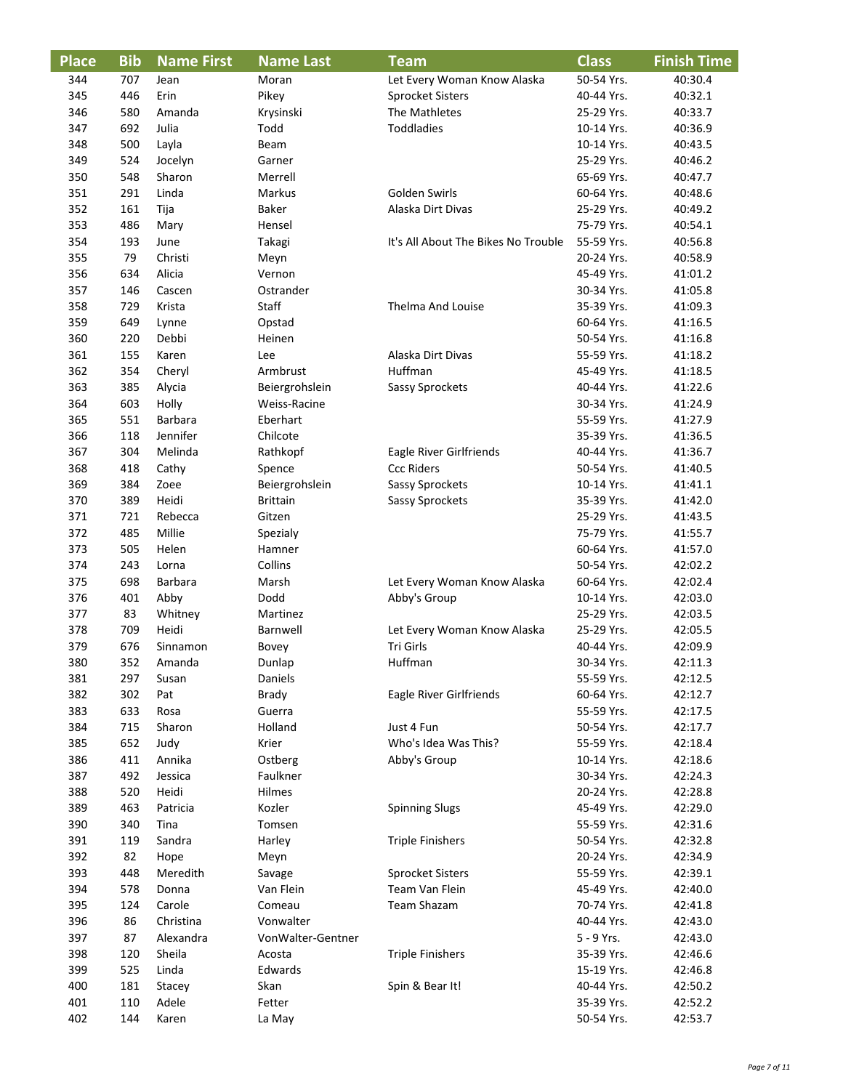| <b>Place</b> | <b>Bib</b> | <b>Name First</b> | <b>Name Last</b>  | <b>Team</b>                         | <b>Class</b>             | <b>Finish Time</b> |
|--------------|------------|-------------------|-------------------|-------------------------------------|--------------------------|--------------------|
| 344          | 707        | Jean              | Moran             | Let Every Woman Know Alaska         | 50-54 Yrs.               | 40:30.4            |
| 345          | 446        | Erin              | Pikey             | <b>Sprocket Sisters</b>             | 40-44 Yrs.               | 40:32.1            |
| 346          | 580        | Amanda            | Krysinski         | The Mathletes                       | 25-29 Yrs.               | 40:33.7            |
| 347          | 692        | Julia             | Todd              | Toddladies                          | 10-14 Yrs.               | 40:36.9            |
| 348          | 500        | Layla             | Beam              |                                     | 10-14 Yrs.               | 40:43.5            |
| 349          | 524        | Jocelyn           | Garner            |                                     | 25-29 Yrs.               | 40:46.2            |
| 350          | 548        | Sharon            | Merrell           |                                     | 65-69 Yrs.               | 40:47.7            |
| 351          | 291        | Linda             | Markus            | Golden Swirls                       | 60-64 Yrs.               | 40:48.6            |
| 352          | 161        | Tija              | <b>Baker</b>      | Alaska Dirt Divas                   | 25-29 Yrs.               | 40:49.2            |
| 353          | 486        | Mary              | Hensel            |                                     | 75-79 Yrs.               | 40:54.1            |
| 354          | 193        | June              | Takagi            | It's All About The Bikes No Trouble | 55-59 Yrs.               | 40:56.8            |
| 355          | 79         | Christi           | Meyn              |                                     | 20-24 Yrs.               | 40:58.9            |
| 356          | 634        | Alicia            | Vernon            |                                     | 45-49 Yrs.               | 41:01.2            |
| 357          | 146        | Cascen            | Ostrander         |                                     | 30-34 Yrs.               | 41:05.8            |
| 358          | 729        | Krista            | <b>Staff</b>      | <b>Thelma And Louise</b>            | 35-39 Yrs.               | 41:09.3            |
| 359          | 649        | Lynne             | Opstad            |                                     | 60-64 Yrs.               | 41:16.5            |
| 360          | 220        | Debbi             | Heinen            |                                     | 50-54 Yrs.               | 41:16.8            |
| 361          | 155        | Karen             | Lee               | Alaska Dirt Divas                   | 55-59 Yrs.               | 41:18.2            |
| 362          | 354        | Cheryl            | Armbrust          | Huffman                             | 45-49 Yrs.               | 41:18.5            |
| 363          | 385        | Alycia            | Beiergrohslein    | <b>Sassy Sprockets</b>              | 40-44 Yrs.               | 41:22.6            |
| 364          | 603        | Holly             | Weiss-Racine      |                                     | 30-34 Yrs.               | 41:24.9            |
| 365          | 551        | <b>Barbara</b>    | Eberhart          |                                     | 55-59 Yrs.               | 41:27.9            |
| 366          | 118        | Jennifer          | Chilcote          |                                     | 35-39 Yrs.               | 41:36.5            |
| 367          | 304        | Melinda           | Rathkopf          | Eagle River Girlfriends             | 40-44 Yrs.               | 41:36.7            |
| 368          | 418        | Cathy             | Spence            | <b>Ccc Riders</b>                   | 50-54 Yrs.               | 41:40.5            |
| 369          | 384        | Zoee              | Beiergrohslein    | Sassy Sprockets                     | 10-14 Yrs.               | 41:41.1            |
| 370          | 389        | Heidi             | <b>Brittain</b>   | <b>Sassy Sprockets</b>              | 35-39 Yrs.               | 41:42.0            |
| 371          | 721        | Rebecca           | Gitzen            |                                     | 25-29 Yrs.               | 41:43.5            |
| 372          | 485        | Millie            | Spezialy          |                                     | 75-79 Yrs.               | 41:55.7            |
| 373          | 505        | Helen             | Hamner            |                                     | 60-64 Yrs.               | 41:57.0            |
| 374          | 243        | Lorna             | Collins           |                                     | 50-54 Yrs.               | 42:02.2            |
| 375          | 698        | Barbara           | Marsh             | Let Every Woman Know Alaska         | 60-64 Yrs.               | 42:02.4            |
| 376          | 401        | Abby              | Dodd              | Abby's Group                        | 10-14 Yrs.               | 42:03.0            |
| 377          | 83         | Whitney           | Martinez          |                                     | 25-29 Yrs.               | 42:03.5            |
| 378          | 709        | Heidi             | Barnwell          | Let Every Woman Know Alaska         | 25-29 Yrs.               | 42:05.5            |
| 379          | 676        | Sinnamon          | Bovey             | Tri Girls                           | 40-44 Yrs.               | 42:09.9            |
| 380          | 352        | Amanda            | Dunlap            | Huffman                             | 30-34 Yrs.               | 42:11.3            |
| 381          | 297        | Susan             | Daniels           |                                     | 55-59 Yrs.               | 42:12.5            |
| 382          | 302        | Pat               | <b>Brady</b>      | Eagle River Girlfriends             | 60-64 Yrs.               | 42:12.7            |
| 383          | 633        | Rosa              | Guerra            |                                     | 55-59 Yrs.               | 42:17.5            |
| 384          | 715        | Sharon            | Holland           | Just 4 Fun                          | 50-54 Yrs.               | 42:17.7            |
| 385          | 652        | Judy              | Krier             | Who's Idea Was This?                | 55-59 Yrs.               | 42:18.4            |
| 386          | 411        | Annika            | Ostberg           | Abby's Group                        | 10-14 Yrs.               | 42:18.6            |
| 387          | 492        | Jessica           | Faulkner          |                                     | 30-34 Yrs.<br>20-24 Yrs. | 42:24.3            |
| 388<br>389   | 520        | Heidi             | Hilmes<br>Kozler  |                                     |                          | 42:28.8<br>42:29.0 |
| 390          | 463<br>340 | Patricia<br>Tina  | Tomsen            | <b>Spinning Slugs</b>               | 45-49 Yrs.<br>55-59 Yrs. | 42:31.6            |
| 391          | 119        | Sandra            |                   |                                     | 50-54 Yrs.               | 42:32.8            |
| 392          | 82         |                   | Harley            | <b>Triple Finishers</b>             | 20-24 Yrs.               | 42:34.9            |
| 393          | 448        | Hope<br>Meredith  | Meyn<br>Savage    | <b>Sprocket Sisters</b>             | 55-59 Yrs.               | 42:39.1            |
| 394          | 578        | Donna             | Van Flein         | Team Van Flein                      | 45-49 Yrs.               | 42:40.0            |
| 395          | 124        | Carole            | Comeau            | Team Shazam                         | 70-74 Yrs.               | 42:41.8            |
| 396          | 86         | Christina         | Vonwalter         |                                     | 40-44 Yrs.               | 42:43.0            |
| 397          | 87         | Alexandra         | VonWalter-Gentner |                                     | 5 - 9 Yrs.               | 42:43.0            |
| 398          | 120        | Sheila            | Acosta            | <b>Triple Finishers</b>             | 35-39 Yrs.               | 42:46.6            |
| 399          | 525        | Linda             | Edwards           |                                     | 15-19 Yrs.               | 42:46.8            |
| 400          | 181        | Stacey            | Skan              | Spin & Bear It!                     | 40-44 Yrs.               | 42:50.2            |
| 401          | 110        | Adele             | Fetter            |                                     | 35-39 Yrs.               | 42:52.2            |
| 402          | 144        | Karen             | La May            |                                     | 50-54 Yrs.               | 42:53.7            |
|              |            |                   |                   |                                     |                          |                    |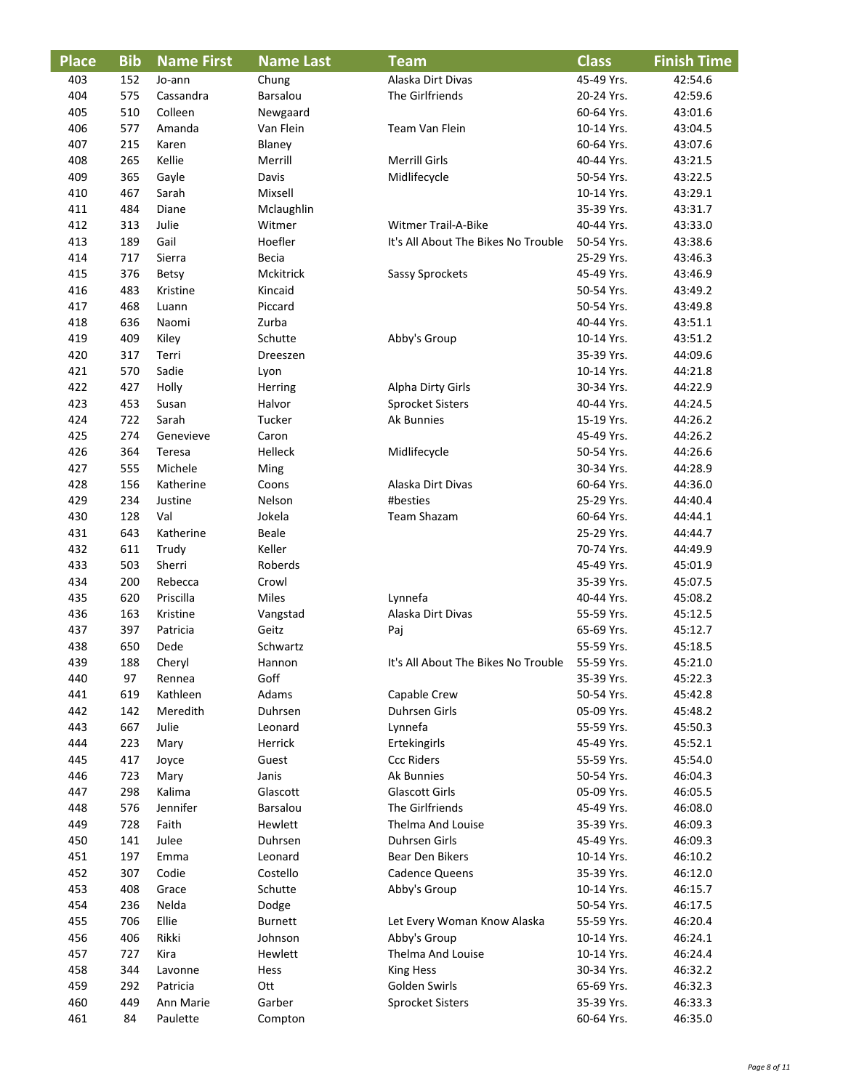| <b>Place</b> | <b>Bib</b> | <b>Name First</b> | <b>Name Last</b> | <b>Team</b>                         | <b>Class</b> | <b>Finish Time</b> |
|--------------|------------|-------------------|------------------|-------------------------------------|--------------|--------------------|
| 403          | 152        | Jo-ann            | Chung            | Alaska Dirt Divas                   | 45-49 Yrs.   | 42:54.6            |
| 404          | 575        | Cassandra         | Barsalou         | The Girlfriends                     | 20-24 Yrs.   | 42:59.6            |
| 405          | 510        | Colleen           | Newgaard         |                                     | 60-64 Yrs.   | 43:01.6            |
| 406          | 577        | Amanda            | Van Flein        | Team Van Flein                      | 10-14 Yrs.   | 43:04.5            |
| 407          | 215        | Karen             | Blaney           |                                     | 60-64 Yrs.   | 43:07.6            |
| 408          | 265        | Kellie            | Merrill          | <b>Merrill Girls</b>                | 40-44 Yrs.   | 43:21.5            |
| 409          | 365        | Gayle             | Davis            | Midlifecycle                        | 50-54 Yrs.   | 43:22.5            |
| 410          | 467        | Sarah             | Mixsell          |                                     | 10-14 Yrs.   | 43:29.1            |
| 411          | 484        | Diane             | Mclaughlin       |                                     | 35-39 Yrs.   | 43:31.7            |
| 412          | 313        | Julie             | Witmer           | <b>Witmer Trail-A-Bike</b>          | 40-44 Yrs.   | 43:33.0            |
| 413          | 189        | Gail              | Hoefler          | It's All About The Bikes No Trouble | 50-54 Yrs.   | 43:38.6            |
| 414          | 717        | Sierra            | Becia            |                                     | 25-29 Yrs.   | 43:46.3            |
| 415          | 376        | <b>Betsy</b>      | Mckitrick        | <b>Sassy Sprockets</b>              | 45-49 Yrs.   | 43:46.9            |
| 416          | 483        | Kristine          | Kincaid          |                                     | 50-54 Yrs.   | 43:49.2            |
| 417          | 468        | Luann             | Piccard          |                                     | 50-54 Yrs.   | 43:49.8            |
| 418          | 636        | Naomi             | Zurba            |                                     | 40-44 Yrs.   | 43:51.1            |
| 419          | 409        | Kiley             | Schutte          | Abby's Group                        | 10-14 Yrs.   | 43:51.2            |
| 420          | 317        | Terri             | Dreeszen         |                                     | 35-39 Yrs.   | 44:09.6            |
| 421          | 570        | Sadie             | Lyon             |                                     | 10-14 Yrs.   | 44:21.8            |
| 422          | 427        | Holly             | Herring          | Alpha Dirty Girls                   | 30-34 Yrs.   | 44:22.9            |
| 423          | 453        | Susan             | Halvor           | <b>Sprocket Sisters</b>             | 40-44 Yrs.   | 44:24.5            |
| 424          | 722        | Sarah             | Tucker           | Ak Bunnies                          | 15-19 Yrs.   | 44:26.2            |
| 425          | 274        | Genevieve         | Caron            |                                     | 45-49 Yrs.   | 44:26.2            |
| 426          | 364        | Teresa            | Helleck          | Midlifecycle                        | 50-54 Yrs.   | 44:26.6            |
| 427          | 555        | Michele           | Ming             |                                     | 30-34 Yrs.   | 44:28.9            |
| 428          | 156        | Katherine         | Coons            | Alaska Dirt Divas                   | 60-64 Yrs.   | 44:36.0            |
| 429          | 234        | Justine           | Nelson           | #besties                            | 25-29 Yrs.   | 44:40.4            |
| 430          | 128        | Val               | Jokela           | Team Shazam                         | 60-64 Yrs.   | 44:44.1            |
| 431          | 643        | Katherine         | <b>Beale</b>     |                                     | 25-29 Yrs.   | 44:44.7            |
| 432          | 611        | Trudy             | Keller           |                                     | 70-74 Yrs.   | 44:49.9            |
| 433          | 503        | Sherri            | Roberds          |                                     | 45-49 Yrs.   | 45:01.9            |
| 434          | 200        | Rebecca           | Crowl            |                                     | 35-39 Yrs.   | 45:07.5            |
| 435          | 620        | Priscilla         | <b>Miles</b>     | Lynnefa                             | 40-44 Yrs.   | 45:08.2            |
| 436          | 163        | Kristine          | Vangstad         | Alaska Dirt Divas                   | 55-59 Yrs.   | 45:12.5            |
| 437          | 397        | Patricia          | Geitz            | Paj                                 | 65-69 Yrs.   | 45:12.7            |
| 438          | 650        | Dede              | Schwartz         |                                     | 55-59 Yrs.   | 45:18.5            |
| 439          | 188        | Cheryl            | Hannon           | It's All About The Bikes No Trouble | 55-59 Yrs.   | 45:21.0            |
| 440          | 97         | Rennea            | Goff             |                                     | 35-39 Yrs.   | 45:22.3            |
| 441          | 619        | Kathleen          | Adams            | Capable Crew                        | 50-54 Yrs.   | 45:42.8            |
| 442          | 142        | Meredith          | Duhrsen          | Duhrsen Girls                       | 05-09 Yrs.   | 45:48.2            |
| 443          | 667        | Julie             | Leonard          | Lynnefa                             | 55-59 Yrs.   | 45:50.3            |
| 444          | 223        | Mary              | Herrick          | Ertekingirls                        | 45-49 Yrs.   | 45:52.1            |
| 445          | 417        | Joyce             | Guest            | <b>Ccc Riders</b>                   | 55-59 Yrs.   | 45:54.0            |
| 446          | 723        | Mary              | Janis            | Ak Bunnies                          | 50-54 Yrs.   | 46:04.3            |
| 447          | 298        | Kalima            | Glascott         | <b>Glascott Girls</b>               | 05-09 Yrs.   | 46:05.5            |
| 448          | 576        | Jennifer          | Barsalou         | The Girlfriends                     | 45-49 Yrs.   | 46:08.0            |
| 449          | 728        | Faith             | Hewlett          | <b>Thelma And Louise</b>            | 35-39 Yrs.   | 46:09.3            |
| 450          | 141        | Julee             | Duhrsen          | <b>Duhrsen Girls</b>                | 45-49 Yrs.   | 46:09.3            |
| 451          | 197        | Emma              | Leonard          | Bear Den Bikers                     | 10-14 Yrs.   | 46:10.2            |
| 452          | 307        | Codie             | Costello         | <b>Cadence Queens</b>               | 35-39 Yrs.   | 46:12.0            |
| 453          | 408        | Grace             | Schutte          | Abby's Group                        | 10-14 Yrs.   | 46:15.7            |
| 454          | 236        | Nelda             | Dodge            |                                     | 50-54 Yrs.   | 46:17.5            |
| 455          | 706        | Ellie             | <b>Burnett</b>   | Let Every Woman Know Alaska         | 55-59 Yrs.   | 46:20.4            |
| 456          | 406        | Rikki             | Johnson          | Abby's Group                        | 10-14 Yrs.   | 46:24.1            |
| 457          | 727        | Kira              | Hewlett          | <b>Thelma And Louise</b>            | 10-14 Yrs.   | 46:24.4            |
| 458          | 344        | Lavonne           | Hess             | <b>King Hess</b>                    | 30-34 Yrs.   | 46:32.2            |
| 459          | 292        | Patricia          | Ott              | Golden Swirls                       | 65-69 Yrs.   | 46:32.3            |
| 460          | 449        | Ann Marie         | Garber           | <b>Sprocket Sisters</b>             | 35-39 Yrs.   | 46:33.3            |
| 461          | 84         | Paulette          | Compton          |                                     | 60-64 Yrs.   | 46:35.0            |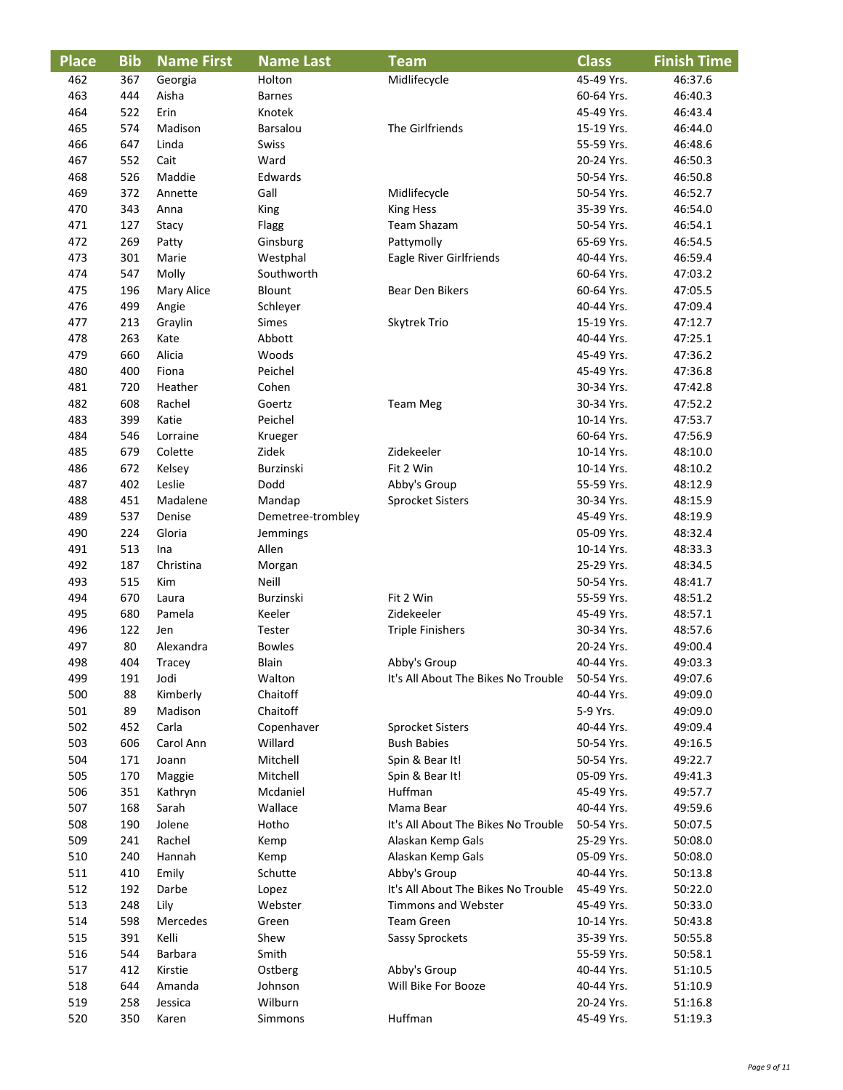| <b>Place</b> | <b>Bib</b> | <b>Name First</b> | <b>Name Last</b>  | <b>Team</b>                         | <b>Class</b> | <b>Finish Time</b> |
|--------------|------------|-------------------|-------------------|-------------------------------------|--------------|--------------------|
| 462          | 367        | Georgia           | Holton            | Midlifecycle                        | 45-49 Yrs.   | 46:37.6            |
| 463          | 444        | Aisha             | <b>Barnes</b>     |                                     | 60-64 Yrs.   | 46:40.3            |
| 464          | 522        | Erin              | Knotek            |                                     | 45-49 Yrs.   | 46:43.4            |
| 465          | 574        | Madison           | <b>Barsalou</b>   | The Girlfriends                     | 15-19 Yrs.   | 46:44.0            |
| 466          | 647        | Linda             | Swiss             |                                     | 55-59 Yrs.   | 46:48.6            |
| 467          | 552        | Cait              | Ward              |                                     | 20-24 Yrs.   | 46:50.3            |
| 468          | 526        | Maddie            | Edwards           |                                     | 50-54 Yrs.   | 46:50.8            |
| 469          | 372        | Annette           | Gall              | Midlifecycle                        | 50-54 Yrs.   | 46:52.7            |
| 470          | 343        | Anna              | King              | <b>King Hess</b>                    | 35-39 Yrs.   | 46:54.0            |
| 471          | 127        | Stacy             | Flagg             | Team Shazam                         | 50-54 Yrs.   | 46:54.1            |
| 472          | 269        | Patty             | Ginsburg          | Pattymolly                          | 65-69 Yrs.   | 46:54.5            |
| 473          | 301        | Marie             | Westphal          | Eagle River Girlfriends             | 40-44 Yrs.   | 46:59.4            |
| 474          | 547        | Molly             | Southworth        |                                     | 60-64 Yrs.   | 47:03.2            |
| 475          | 196        | Mary Alice        | Blount            | Bear Den Bikers                     | 60-64 Yrs.   | 47:05.5            |
| 476          | 499        | Angie             | Schleyer          |                                     | 40-44 Yrs.   | 47:09.4            |
| 477          | 213        | Graylin           | <b>Simes</b>      | Skytrek Trio                        | 15-19 Yrs.   | 47:12.7            |
| 478          | 263        | Kate              | Abbott            |                                     | 40-44 Yrs.   | 47:25.1            |
| 479          | 660        | Alicia            | Woods             |                                     | 45-49 Yrs.   | 47:36.2            |
| 480          | 400        | Fiona             | Peichel           |                                     | 45-49 Yrs.   | 47:36.8            |
| 481          | 720        | Heather           | Cohen             |                                     | 30-34 Yrs.   | 47:42.8            |
| 482          | 608        | Rachel            | Goertz            | <b>Team Meg</b>                     | 30-34 Yrs.   | 47:52.2            |
| 483          | 399        | Katie             | Peichel           |                                     | 10-14 Yrs.   | 47:53.7            |
| 484          | 546        | Lorraine          | Krueger           |                                     | 60-64 Yrs.   | 47:56.9            |
| 485          | 679        | Colette           | Zidek             | Zidekeeler                          | 10-14 Yrs.   | 48:10.0            |
| 486          | 672        | Kelsey            | Burzinski         | Fit 2 Win                           | 10-14 Yrs.   | 48:10.2            |
| 487          | 402        | Leslie            | Dodd              | Abby's Group                        | 55-59 Yrs.   | 48:12.9            |
| 488          | 451        | Madalene          | Mandap            | <b>Sprocket Sisters</b>             | 30-34 Yrs.   | 48:15.9            |
| 489          | 537        | Denise            | Demetree-trombley |                                     | 45-49 Yrs.   | 48:19.9            |
| 490          | 224        | Gloria            | <b>Jemmings</b>   |                                     | 05-09 Yrs.   | 48:32.4            |
| 491          | 513        | Ina               | Allen             |                                     | 10-14 Yrs.   | 48:33.3            |
| 492          | 187        | Christina         | Morgan            |                                     | 25-29 Yrs.   | 48:34.5            |
| 493          | 515        | Kim               | <b>Neill</b>      |                                     | 50-54 Yrs.   | 48:41.7            |
| 494          | 670        | Laura             | Burzinski         | Fit 2 Win                           | 55-59 Yrs.   | 48:51.2            |
| 495          | 680        | Pamela            | Keeler            | Zidekeeler                          | 45-49 Yrs.   | 48:57.1            |
| 496          | 122        | Jen               | Tester            | <b>Triple Finishers</b>             | 30-34 Yrs.   | 48:57.6            |
| 497          | 80         | Alexandra         | <b>Bowles</b>     |                                     | 20-24 Yrs.   | 49:00.4            |
| 498          | 404        | Tracey            | <b>Blain</b>      | Abby's Group                        | 40-44 Yrs.   | 49:03.3            |
| 499          | 191        | Jodi              | Walton            | It's All About The Bikes No Trouble | 50-54 Yrs.   | 49:07.6            |
| 500          | 88         | Kimberly          | Chaitoff          |                                     | 40-44 Yrs.   | 49:09.0            |
| 501          | 89         | Madison           | Chaitoff          |                                     | 5-9 Yrs.     | 49:09.0            |
| 502          | 452        | Carla             | Copenhaver        | <b>Sprocket Sisters</b>             | 40-44 Yrs.   | 49:09.4            |
| 503          | 606        | Carol Ann         | Willard           | <b>Bush Babies</b>                  | 50-54 Yrs.   | 49:16.5            |
| 504          | 171        | Joann             | Mitchell          | Spin & Bear It!                     | 50-54 Yrs.   | 49:22.7            |
| 505          | 170        | Maggie            | Mitchell          | Spin & Bear It!                     | 05-09 Yrs.   | 49:41.3            |
| 506          | 351        | Kathryn           | Mcdaniel          | Huffman                             | 45-49 Yrs.   | 49:57.7            |
| 507          | 168        | Sarah             | Wallace           | Mama Bear                           | 40-44 Yrs.   | 49:59.6            |
| 508          | 190        | Jolene            | Hotho             | It's All About The Bikes No Trouble | 50-54 Yrs.   | 50:07.5            |
| 509          | 241        | Rachel            | Kemp              | Alaskan Kemp Gals                   | 25-29 Yrs.   | 50:08.0            |
| 510          | 240        | Hannah            | Kemp              | Alaskan Kemp Gals                   | 05-09 Yrs.   | 50:08.0            |
| 511          | 410        | Emily             | Schutte           | Abby's Group                        | 40-44 Yrs.   | 50:13.8            |
| 512          | 192        | Darbe             | Lopez             | It's All About The Bikes No Trouble | 45-49 Yrs.   | 50:22.0            |
| 513          | 248        | Lily              | Webster           | <b>Timmons and Webster</b>          | 45-49 Yrs.   | 50:33.0            |
| 514          | 598        | Mercedes          | Green             | <b>Team Green</b>                   | 10-14 Yrs.   | 50:43.8            |
| 515          | 391        | Kelli             | Shew              | <b>Sassy Sprockets</b>              | 35-39 Yrs.   | 50:55.8            |
| 516          | 544        | Barbara           | Smith             |                                     | 55-59 Yrs.   | 50:58.1            |
| 517          | 412        | Kirstie           | Ostberg           | Abby's Group                        | 40-44 Yrs.   | 51:10.5            |
| 518          | 644        | Amanda            | Johnson           | Will Bike For Booze                 | 40-44 Yrs.   | 51:10.9            |
| 519          | 258        | Jessica           | Wilburn           |                                     | 20-24 Yrs.   | 51:16.8            |
| 520          | 350        | Karen             | Simmons           | Huffman                             | 45-49 Yrs.   | 51:19.3            |

 $\overline{\phantom{a}}$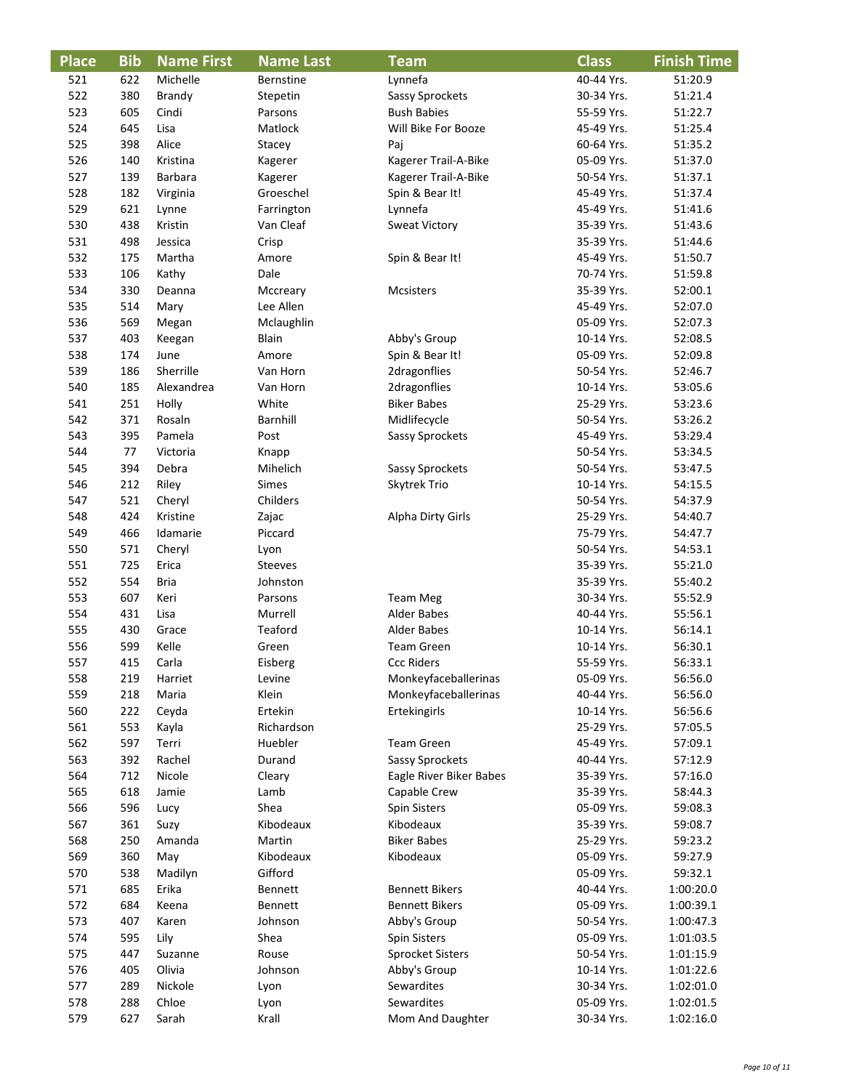| <b>Place</b> | <b>Bib</b> | <b>Name First</b> | <b>Name Last</b> | <b>Team</b>             | <b>Class</b> | <b>Finish Time</b> |
|--------------|------------|-------------------|------------------|-------------------------|--------------|--------------------|
| 521          | 622        | Michelle          | Bernstine        | Lynnefa                 | 40-44 Yrs.   | 51:20.9            |
| 522          | 380        | Brandy            | Stepetin         | <b>Sassy Sprockets</b>  | 30-34 Yrs.   | 51:21.4            |
| 523          | 605        | Cindi             | Parsons          | <b>Bush Babies</b>      | 55-59 Yrs.   | 51:22.7            |
| 524          | 645        | Lisa              | Matlock          | Will Bike For Booze     | 45-49 Yrs.   | 51:25.4            |
| 525          | 398        | Alice             | Stacey           | Paj                     | 60-64 Yrs.   | 51:35.2            |
| 526          | 140        | Kristina          | Kagerer          | Kagerer Trail-A-Bike    | 05-09 Yrs.   | 51:37.0            |
| 527          | 139        | Barbara           | Kagerer          | Kagerer Trail-A-Bike    | 50-54 Yrs.   | 51:37.1            |
| 528          | 182        | Virginia          | Groeschel        | Spin & Bear It!         | 45-49 Yrs.   | 51:37.4            |
| 529          | 621        | Lynne             | Farrington       | Lynnefa                 | 45-49 Yrs.   | 51:41.6            |
| 530          | 438        | Kristin           | Van Cleaf        | <b>Sweat Victory</b>    | 35-39 Yrs.   | 51:43.6            |
| 531          | 498        | Jessica           | Crisp            |                         | 35-39 Yrs.   | 51:44.6            |
| 532          | 175        | Martha            | Amore            | Spin & Bear It!         | 45-49 Yrs.   | 51:50.7            |
| 533          | 106        | Kathy             | Dale             |                         | 70-74 Yrs.   | 51:59.8            |
| 534          | 330        | Deanna            | Mccreary         | <b>Mcsisters</b>        | 35-39 Yrs.   | 52:00.1            |
| 535          | 514        | Mary              | Lee Allen        |                         | 45-49 Yrs.   | 52:07.0            |
| 536          | 569        | Megan             | Mclaughlin       |                         | 05-09 Yrs.   | 52:07.3            |
| 537          | 403        | Keegan            | <b>Blain</b>     | Abby's Group            | 10-14 Yrs.   | 52:08.5            |
| 538          | 174        | June              | Amore            | Spin & Bear It!         | 05-09 Yrs.   | 52:09.8            |
| 539          | 186        | Sherrille         | Van Horn         | 2dragonflies            | 50-54 Yrs.   | 52:46.7            |
| 540          | 185        | Alexandrea        | Van Horn         | 2dragonflies            | 10-14 Yrs.   | 53:05.6            |
| 541          | 251        | Holly             | White            | <b>Biker Babes</b>      | 25-29 Yrs.   | 53:23.6            |
| 542          | 371        | Rosaln            | <b>Barnhill</b>  | Midlifecycle            | 50-54 Yrs.   | 53:26.2            |
| 543          | 395        | Pamela            | Post             | <b>Sassy Sprockets</b>  | 45-49 Yrs.   | 53:29.4            |
| 544          | 77         | Victoria          | Knapp            |                         | 50-54 Yrs.   | 53:34.5            |
| 545          | 394        | Debra             | Mihelich         | <b>Sassy Sprockets</b>  | 50-54 Yrs.   | 53:47.5            |
| 546          | 212        | Riley             | <b>Simes</b>     | <b>Skytrek Trio</b>     | 10-14 Yrs.   | 54:15.5            |
| 547          | 521        | Cheryl            | Childers         |                         | 50-54 Yrs.   | 54:37.9            |
| 548          | 424        | Kristine          | Zajac            | Alpha Dirty Girls       | 25-29 Yrs.   | 54:40.7            |
| 549          | 466        | Idamarie          | Piccard          |                         | 75-79 Yrs.   | 54:47.7            |
| 550          | 571        | Cheryl            | Lyon             |                         | 50-54 Yrs.   | 54:53.1            |
| 551          | 725        | Erica             | <b>Steeves</b>   |                         | 35-39 Yrs.   | 55:21.0            |
| 552          | 554        | <b>Bria</b>       | Johnston         |                         | 35-39 Yrs.   | 55:40.2            |
| 553          | 607        | Keri              | Parsons          | <b>Team Meg</b>         | 30-34 Yrs.   | 55:52.9            |
| 554          | 431        | Lisa              | Murrell          | <b>Alder Babes</b>      | 40-44 Yrs.   | 55:56.1            |
| 555          | 430        | Grace             | Teaford          | <b>Alder Babes</b>      | 10-14 Yrs.   | 56:14.1            |
| 556          | 599        | Kelle             | Green            | <b>Team Green</b>       | 10-14 Yrs.   | 56:30.1            |
| 557          | 415        | Carla             | Eisberg          | <b>Ccc Riders</b>       | 55-59 Yrs.   | 56:33.1            |
| 558          | 219        | Harriet           | Levine           | Monkeyfaceballerinas    | 05-09 Yrs.   | 56:56.0            |
| 559          | 218        | Maria             | Klein            | Monkeyfaceballerinas    | 40-44 Yrs.   | 56:56.0            |
| 560          | 222        | Ceyda             | Ertekin          | Ertekingirls            | 10-14 Yrs.   | 56:56.6            |
| 561          | 553        | Kayla             | Richardson       |                         | 25-29 Yrs.   | 57:05.5            |
| 562          | 597        | Terri             | Huebler          | <b>Team Green</b>       | 45-49 Yrs.   | 57:09.1            |
| 563          | 392        | Rachel            | Durand           | <b>Sassy Sprockets</b>  | 40-44 Yrs.   | 57:12.9            |
| 564          | 712        | Nicole            | Cleary           | Eagle River Biker Babes | 35-39 Yrs.   | 57:16.0            |
| 565          | 618        | Jamie             | Lamb             | Capable Crew            | 35-39 Yrs.   | 58:44.3            |
| 566          | 596        | Lucy              | Shea             | <b>Spin Sisters</b>     | 05-09 Yrs.   | 59:08.3            |
| 567          | 361        | Suzy              | Kibodeaux        | Kibodeaux               | 35-39 Yrs.   | 59:08.7            |
| 568          | 250        | Amanda            | Martin           | <b>Biker Babes</b>      | 25-29 Yrs.   | 59:23.2            |
| 569          | 360        | May               | Kibodeaux        | Kibodeaux               | 05-09 Yrs.   | 59:27.9            |
| 570          | 538        | Madilyn           | Gifford          |                         | 05-09 Yrs.   | 59:32.1            |
| 571          | 685        | Erika             | Bennett          | <b>Bennett Bikers</b>   | 40-44 Yrs.   | 1:00:20.0          |
| 572          | 684        | Keena             | <b>Bennett</b>   | <b>Bennett Bikers</b>   | 05-09 Yrs.   | 1:00:39.1          |
| 573          | 407        | Karen             | Johnson          | Abby's Group            | 50-54 Yrs.   | 1:00:47.3          |
| 574          | 595        | Lily              | Shea             | <b>Spin Sisters</b>     | 05-09 Yrs.   | 1:01:03.5          |
| 575          | 447        | Suzanne           | Rouse            | <b>Sprocket Sisters</b> | 50-54 Yrs.   | 1:01:15.9          |
| 576          | 405        | Olivia            | Johnson          | Abby's Group            | 10-14 Yrs.   | 1:01:22.6          |
| 577          | 289        | Nickole           | Lyon             | Sewardites              | 30-34 Yrs.   | 1:02:01.0          |
| 578          | 288        | Chloe             | Lyon             | Sewardites              | 05-09 Yrs.   | 1:02:01.5          |
| 579          | 627        | Sarah             | Krall            | Mom And Daughter        | 30-34 Yrs.   | 1:02:16.0          |

I